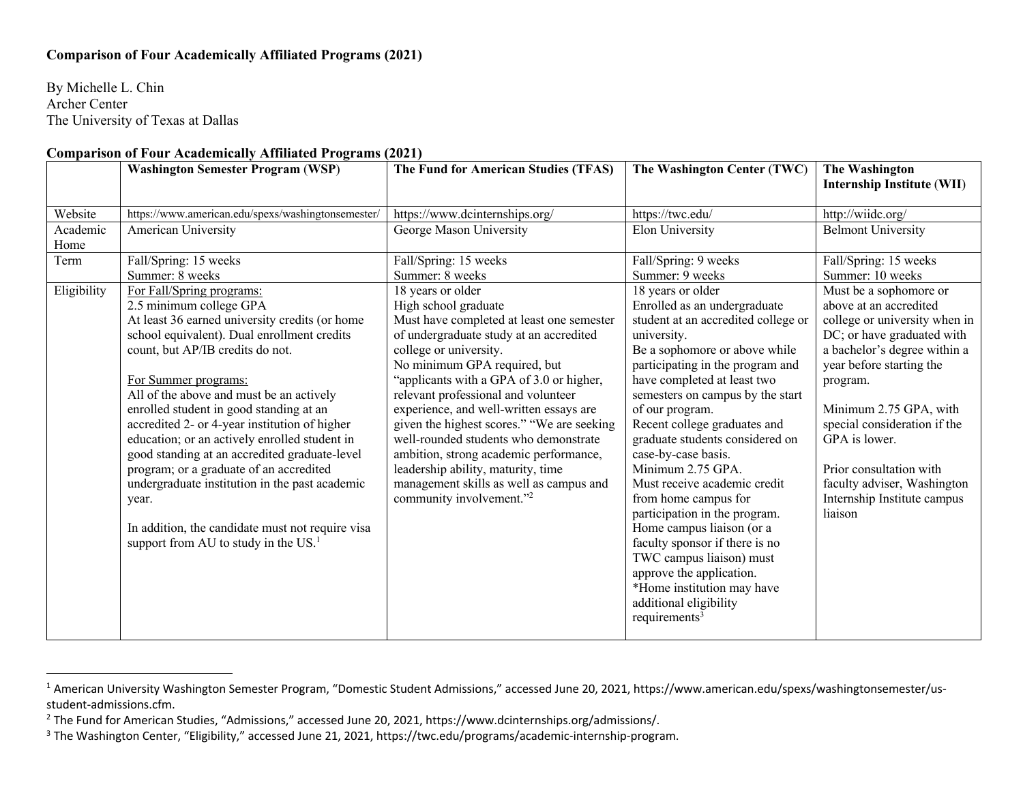## **Comparison of Four Academically Affiliated Programs (2021)**

By Michelle L. Chin Archer Center The University of Texas at Dallas

## **Comparison of Four Academically Affiliated Programs (2021)**

|                  | <b>Washington Semester Program (WSP)</b>                                                                                                                                                                                                                                                                                                                                                                                                                                                                                                                                                                                                                                  | The Fund for American Studies (TFAS)                                                                                                                                                                                                                                                                                                                                                                                                                                                                                                                                    | The Washington Center (TWC)                                                                                                                                                                                                                                                                                                                                                                                                                                                                                                                                                                                                                                                   | The Washington<br><b>Internship Institute (WII)</b>                                                                                                                                                                                                                                                                                                                    |
|------------------|---------------------------------------------------------------------------------------------------------------------------------------------------------------------------------------------------------------------------------------------------------------------------------------------------------------------------------------------------------------------------------------------------------------------------------------------------------------------------------------------------------------------------------------------------------------------------------------------------------------------------------------------------------------------------|-------------------------------------------------------------------------------------------------------------------------------------------------------------------------------------------------------------------------------------------------------------------------------------------------------------------------------------------------------------------------------------------------------------------------------------------------------------------------------------------------------------------------------------------------------------------------|-------------------------------------------------------------------------------------------------------------------------------------------------------------------------------------------------------------------------------------------------------------------------------------------------------------------------------------------------------------------------------------------------------------------------------------------------------------------------------------------------------------------------------------------------------------------------------------------------------------------------------------------------------------------------------|------------------------------------------------------------------------------------------------------------------------------------------------------------------------------------------------------------------------------------------------------------------------------------------------------------------------------------------------------------------------|
| Website          | https://www.american.edu/spexs/washingtonsemester/                                                                                                                                                                                                                                                                                                                                                                                                                                                                                                                                                                                                                        | https://www.dcinternships.org/                                                                                                                                                                                                                                                                                                                                                                                                                                                                                                                                          | https://twc.edu/                                                                                                                                                                                                                                                                                                                                                                                                                                                                                                                                                                                                                                                              | http://wiidc.org/                                                                                                                                                                                                                                                                                                                                                      |
| Academic<br>Home | American University                                                                                                                                                                                                                                                                                                                                                                                                                                                                                                                                                                                                                                                       | George Mason University                                                                                                                                                                                                                                                                                                                                                                                                                                                                                                                                                 | Elon University                                                                                                                                                                                                                                                                                                                                                                                                                                                                                                                                                                                                                                                               | <b>Belmont University</b>                                                                                                                                                                                                                                                                                                                                              |
| Term             | Fall/Spring: 15 weeks<br>Summer: 8 weeks                                                                                                                                                                                                                                                                                                                                                                                                                                                                                                                                                                                                                                  | Fall/Spring: 15 weeks<br>Summer: 8 weeks                                                                                                                                                                                                                                                                                                                                                                                                                                                                                                                                | Fall/Spring: 9 weeks<br>Summer: 9 weeks                                                                                                                                                                                                                                                                                                                                                                                                                                                                                                                                                                                                                                       | Fall/Spring: 15 weeks<br>Summer: 10 weeks                                                                                                                                                                                                                                                                                                                              |
| Eligibility      | For Fall/Spring programs:<br>2.5 minimum college GPA<br>At least 36 earned university credits (or home<br>school equivalent). Dual enrollment credits<br>count, but AP/IB credits do not.<br>For Summer programs:<br>All of the above and must be an actively<br>enrolled student in good standing at an<br>accredited 2- or 4-year institution of higher<br>education; or an actively enrolled student in<br>good standing at an accredited graduate-level<br>program; or a graduate of an accredited<br>undergraduate institution in the past academic<br>year.<br>In addition, the candidate must not require visa<br>support from AU to study in the US. <sup>1</sup> | 18 years or older<br>High school graduate<br>Must have completed at least one semester<br>of undergraduate study at an accredited<br>college or university.<br>No minimum GPA required, but<br>"applicants with a GPA of 3.0 or higher,<br>relevant professional and volunteer<br>experience, and well-written essays are<br>given the highest scores." "We are seeking<br>well-rounded students who demonstrate<br>ambition, strong academic performance,<br>leadership ability, maturity, time<br>management skills as well as campus and<br>community involvement."2 | 18 years or older<br>Enrolled as an undergraduate<br>student at an accredited college or<br>university.<br>Be a sophomore or above while<br>participating in the program and<br>have completed at least two<br>semesters on campus by the start<br>of our program.<br>Recent college graduates and<br>graduate students considered on<br>case-by-case basis.<br>Minimum 2.75 GPA.<br>Must receive academic credit<br>from home campus for<br>participation in the program.<br>Home campus liaison (or a<br>faculty sponsor if there is no<br>TWC campus liaison) must<br>approve the application.<br>*Home institution may have<br>additional eligibility<br>requirements $3$ | Must be a sophomore or<br>above at an accredited<br>college or university when in<br>DC; or have graduated with<br>a bachelor's degree within a<br>year before starting the<br>program.<br>Minimum 2.75 GPA, with<br>special consideration if the<br>GPA is lower.<br>Prior consultation with<br>faculty adviser, Washington<br>Internship Institute campus<br>liaison |

<sup>&</sup>lt;sup>1</sup> American University Washington Semester Program, "Domestic Student Admissions," accessed June 20, 2021, https://www.american.edu/spexs/washingtonsemester/usstudent-admissions.cfm.

<sup>&</sup>lt;sup>2</sup> The Fund for American Studies, "Admissions," accessed June 20, 2021, https://www.dcinternships.org/admissions/.

<sup>&</sup>lt;sup>3</sup> The Washington Center, "Eligibility," accessed June 21, 2021, https://twc.edu/programs/academic-internship-program.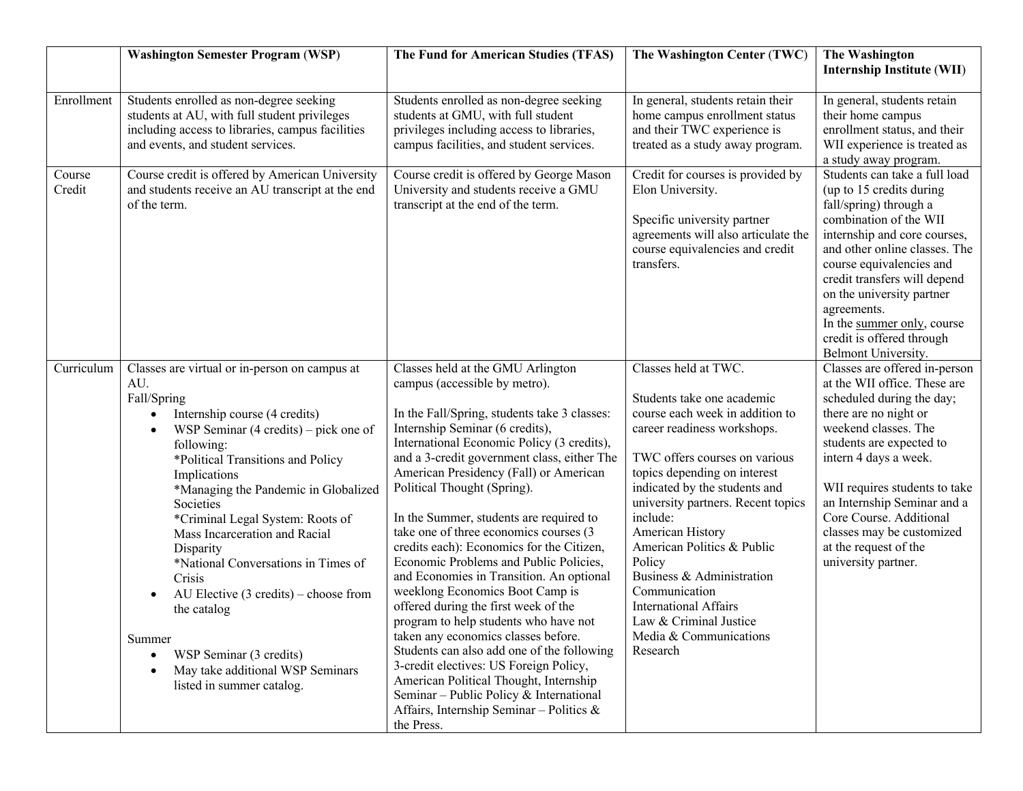|                  | <b>Washington Semester Program (WSP)</b>                                                                                                                                                                                                                                                                                                                                                                                                                                                                                                                                                                                          | The Fund for American Studies (TFAS)                                                                                                                                                                                                                                                                                                                                                                                                                                                                                                                                                                                                                                                                                                                                                                                                                                                                                                                     | The Washington Center (TWC)                                                                                                                                                                                                                                                                                                                                                                                                                                                        | The Washington<br><b>Internship Institute (WII)</b>                                                                                                                                                                                                                                                                                                                      |
|------------------|-----------------------------------------------------------------------------------------------------------------------------------------------------------------------------------------------------------------------------------------------------------------------------------------------------------------------------------------------------------------------------------------------------------------------------------------------------------------------------------------------------------------------------------------------------------------------------------------------------------------------------------|----------------------------------------------------------------------------------------------------------------------------------------------------------------------------------------------------------------------------------------------------------------------------------------------------------------------------------------------------------------------------------------------------------------------------------------------------------------------------------------------------------------------------------------------------------------------------------------------------------------------------------------------------------------------------------------------------------------------------------------------------------------------------------------------------------------------------------------------------------------------------------------------------------------------------------------------------------|------------------------------------------------------------------------------------------------------------------------------------------------------------------------------------------------------------------------------------------------------------------------------------------------------------------------------------------------------------------------------------------------------------------------------------------------------------------------------------|--------------------------------------------------------------------------------------------------------------------------------------------------------------------------------------------------------------------------------------------------------------------------------------------------------------------------------------------------------------------------|
| Enrollment       | Students enrolled as non-degree seeking<br>students at AU, with full student privileges<br>including access to libraries, campus facilities<br>and events, and student services.                                                                                                                                                                                                                                                                                                                                                                                                                                                  | Students enrolled as non-degree seeking<br>students at GMU, with full student<br>privileges including access to libraries,<br>campus facilities, and student services.                                                                                                                                                                                                                                                                                                                                                                                                                                                                                                                                                                                                                                                                                                                                                                                   | In general, students retain their<br>home campus enrollment status<br>and their TWC experience is<br>treated as a study away program.                                                                                                                                                                                                                                                                                                                                              | In general, students retain<br>their home campus<br>enrollment status, and their<br>WII experience is treated as<br>a study away program.                                                                                                                                                                                                                                |
| Course<br>Credit | Course credit is offered by American University<br>and students receive an AU transcript at the end<br>of the term.                                                                                                                                                                                                                                                                                                                                                                                                                                                                                                               | Course credit is offered by George Mason<br>University and students receive a GMU<br>transcript at the end of the term.                                                                                                                                                                                                                                                                                                                                                                                                                                                                                                                                                                                                                                                                                                                                                                                                                                  | Credit for courses is provided by<br>Elon University.<br>Specific university partner<br>agreements will also articulate the<br>course equivalencies and credit<br>transfers.                                                                                                                                                                                                                                                                                                       | Students can take a full load<br>(up to 15 credits during<br>fall/spring) through a<br>combination of the WII<br>internship and core courses,<br>and other online classes. The<br>course equivalencies and<br>credit transfers will depend<br>on the university partner<br>agreements.<br>In the summer only, course<br>credit is offered through<br>Belmont University. |
| Curriculum       | Classes are virtual or in-person on campus at<br>AU.<br>Fall/Spring<br>Internship course (4 credits)<br>$\bullet$<br>WSP Seminar $(4 \text{ credits})$ – pick one of<br>$\bullet$<br>following:<br>*Political Transitions and Policy<br>Implications<br>*Managing the Pandemic in Globalized<br>Societies<br>*Criminal Legal System: Roots of<br>Mass Incarceration and Racial<br>Disparity<br>*National Conversations in Times of<br>Crisis<br>AU Elective $(3 \text{ credits})$ – choose from<br>the catalog<br>Summer<br>WSP Seminar (3 credits)<br>$\bullet$<br>May take additional WSP Seminars<br>listed in summer catalog. | Classes held at the GMU Arlington<br>campus (accessible by metro).<br>In the Fall/Spring, students take 3 classes:<br>Internship Seminar (6 credits),<br>International Economic Policy (3 credits),<br>and a 3-credit government class, either The<br>American Presidency (Fall) or American<br>Political Thought (Spring).<br>In the Summer, students are required to<br>take one of three economics courses (3<br>credits each): Economics for the Citizen,<br>Economic Problems and Public Policies,<br>and Economies in Transition. An optional<br>weeklong Economics Boot Camp is<br>offered during the first week of the<br>program to help students who have not<br>taken any economics classes before.<br>Students can also add one of the following<br>3-credit electives: US Foreign Policy,<br>American Political Thought, Internship<br>Seminar - Public Policy & International<br>Affairs, Internship Seminar - Politics $\&$<br>the Press. | Classes held at TWC.<br>Students take one academic<br>course each week in addition to<br>career readiness workshops.<br>TWC offers courses on various<br>topics depending on interest<br>indicated by the students and<br>university partners. Recent topics<br>include:<br>American History<br>American Politics & Public<br>Policy<br>Business & Administration<br>Communication<br><b>International Affairs</b><br>Law & Criminal Justice<br>Media & Communications<br>Research | Classes are offered in-person<br>at the WII office. These are<br>scheduled during the day;<br>there are no night or<br>weekend classes. The<br>students are expected to<br>intern 4 days a week.<br>WII requires students to take<br>an Internship Seminar and a<br>Core Course. Additional<br>classes may be customized<br>at the request of the<br>university partner. |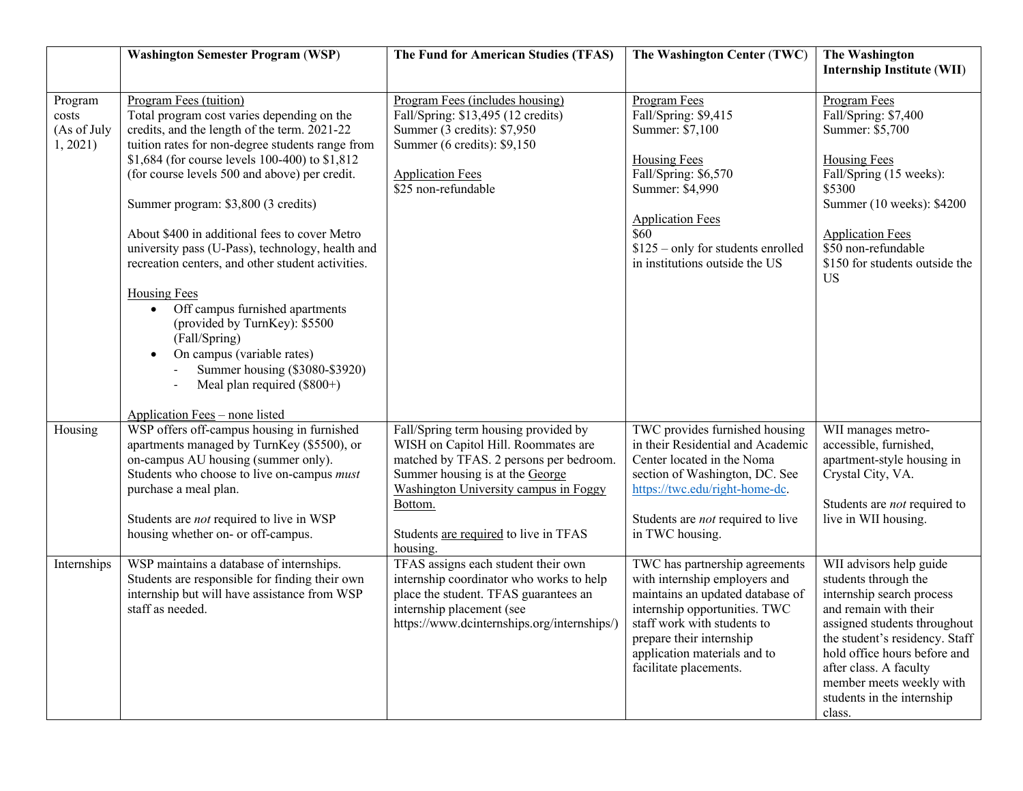|                                             | <b>Washington Semester Program (WSP)</b>                                                                                                                                                                                                                                                                                                                                                                                                                                                                                                                                                                                                                                                                   | The Fund for American Studies (TFAS)                                                                                                                                                                                                                               | The Washington Center (TWC)                                                                                                                                                                                                                               | The Washington<br><b>Internship Institute (WII)</b>                                                                                                                                                                                                                                                   |
|---------------------------------------------|------------------------------------------------------------------------------------------------------------------------------------------------------------------------------------------------------------------------------------------------------------------------------------------------------------------------------------------------------------------------------------------------------------------------------------------------------------------------------------------------------------------------------------------------------------------------------------------------------------------------------------------------------------------------------------------------------------|--------------------------------------------------------------------------------------------------------------------------------------------------------------------------------------------------------------------------------------------------------------------|-----------------------------------------------------------------------------------------------------------------------------------------------------------------------------------------------------------------------------------------------------------|-------------------------------------------------------------------------------------------------------------------------------------------------------------------------------------------------------------------------------------------------------------------------------------------------------|
| Program<br>costs<br>(As of July<br>1, 2021) | Program Fees (tuition)<br>Total program cost varies depending on the<br>credits, and the length of the term. 2021-22<br>tuition rates for non-degree students range from<br>\$1,684 (for course levels 100-400) to \$1,812<br>(for course levels 500 and above) per credit.<br>Summer program: \$3,800 (3 credits)<br>About \$400 in additional fees to cover Metro<br>university pass (U-Pass), technology, health and<br>recreation centers, and other student activities.<br>Housing Fees<br>Off campus furnished apartments<br>$\bullet$<br>(provided by TurnKey): \$5500<br>(Fall/Spring)<br>On campus (variable rates)<br>$\bullet$<br>Summer housing (\$3080-\$3920)<br>Meal plan required (\$800+) | Program Fees (includes housing)<br>Fall/Spring: \$13,495 (12 credits)<br>Summer (3 credits): \$7,950<br>Summer (6 credits): \$9,150<br><b>Application Fees</b><br>\$25 non-refundable                                                                              | Program Fees<br>Fall/Spring: \$9,415<br>Summer: \$7,100<br><b>Housing Fees</b><br>Fall/Spring: \$6,570<br>Summer: \$4,990<br><b>Application Fees</b><br>$\overline{$60}$<br>$$125$ – only for students enrolled<br>in institutions outside the US         | Program Fees<br>Fall/Spring: \$7,400<br>Summer: \$5,700<br>Housing Fees<br>Fall/Spring (15 weeks):<br>\$5300<br>Summer (10 weeks): \$4200<br><b>Application Fees</b><br>\$50 non-refundable<br>\$150 for students outside the<br><b>US</b>                                                            |
| Housing                                     | Application Fees - none listed<br>WSP offers off-campus housing in furnished<br>apartments managed by TurnKey (\$5500), or<br>on-campus AU housing (summer only).<br>Students who choose to live on-campus must<br>purchase a meal plan.<br>Students are not required to live in WSP<br>housing whether on- or off-campus.                                                                                                                                                                                                                                                                                                                                                                                 | Fall/Spring term housing provided by<br>WISH on Capitol Hill. Roommates are<br>matched by TFAS. 2 persons per bedroom.<br>Summer housing is at the George<br>Washington University campus in Foggy<br>Bottom.<br>Students are required to live in TFAS<br>housing. | TWC provides furnished housing<br>in their Residential and Academic<br>Center located in the Noma<br>section of Washington, DC. See<br>https://twc.edu/right-home-dc.<br>Students are <i>not</i> required to live<br>in TWC housing.                      | WII manages metro-<br>accessible, furnished,<br>apartment-style housing in<br>Crystal City, VA.<br>Students are <i>not</i> required to<br>live in WII housing.                                                                                                                                        |
| Internships                                 | WSP maintains a database of internships.<br>Students are responsible for finding their own<br>internship but will have assistance from WSP<br>staff as needed.                                                                                                                                                                                                                                                                                                                                                                                                                                                                                                                                             | TFAS assigns each student their own<br>internship coordinator who works to help<br>place the student. TFAS guarantees an<br>internship placement (see<br>https://www.dcinternships.org/internships/)                                                               | TWC has partnership agreements<br>with internship employers and<br>maintains an updated database of<br>internship opportunities. TWC<br>staff work with students to<br>prepare their internship<br>application materials and to<br>facilitate placements. | WII advisors help guide<br>students through the<br>internship search process<br>and remain with their<br>assigned students throughout<br>the student's residency. Staff<br>hold office hours before and<br>after class. A faculty<br>member meets weekly with<br>students in the internship<br>class. |